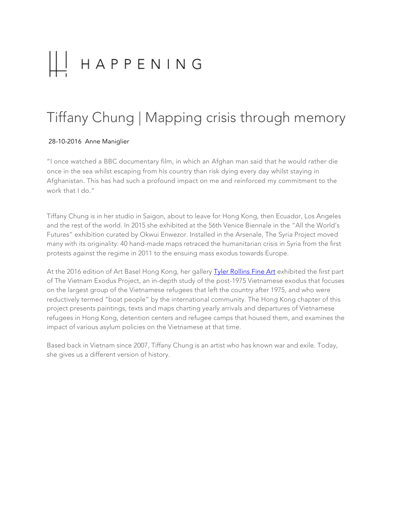# Ш HAPPENING

# Tiffany Chung | Mapping crisis through memory

#### 28-10-2016 Anne Maniglier

"I once watched a BBC documentary film, in which an Afghan man said that he would rather die once in the sea whilst escaping from his country than risk dying every day whilst staying in Afghanistan. This has had such a profound impact on me and reinforced my commitment to the work that I do."

Tiffany Chung is in her studio in Saigon, about to leave for Hong Kong, then Ecuador, Los Angeles and the rest of the world. In 2015 she exhibited at the 56th Venice Biennale in the "All the World's Futures" exhibition curated by Okwui Enwezor. Installed in the Arsenale, The Syria Project moved many with its originality: 40 hand-made maps retraced the humanitarian crisis in Syria from the first protests against the regime in 2011 to the ensuing mass exodus towards Europe.

At the 2016 edition of Art Basel Hong Kong, her gallery **Tyler Rollins Fine Art** exhibited the first part of The Vietnam Exodus Project, an in-depth study of the post-1975 Vietnamese exodus that focuses on the largest group of the Vietnamese refugees that left the country after 1975, and who were reductively termed "boat people" by the international community. The Hong Kong chapter of this project presents paintings, texts and maps charting yearly arrivals and departures of Vietnamese refugees in Hong Kong, detention centers and refugee camps that housed them, and examines the impact of various asylum policies on the Vietnamese at that time.

Based back in Vietnam since 2007, Tiffany Chung is an artist who has known war and exile. Today, she gives us a different version of history.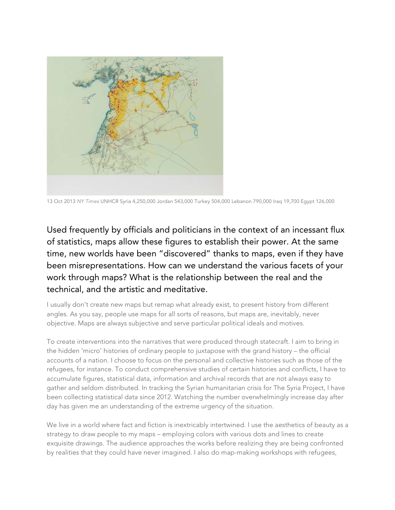

13 Oct 2013 *NY Times* UNHCR Syria 4,250,000 Jordan 543,000 Turkey 504,000 Lebanon 790,000 Iraq 19,700 Egypt 126,000

Used frequently by officials and politicians in the context of an incessant flux of statistics, maps allow these figures to establish their power. At the same time, new worlds have been "discovered" thanks to maps, even if they have been misrepresentations. How can we understand the various facets of your work through maps? What is the relationship between the real and the technical, and the artistic and meditative.

I usually don't create new maps but remap what already exist, to present history from different angles. As you say, people use maps for all sorts of reasons, but maps are, inevitably, never objective. Maps are always subjective and serve particular political ideals and motives.

To create interventions into the narratives that were produced through statecraft. I aim to bring in the hidden 'micro' histories of ordinary people to juxtapose with the grand history – the official accounts of a nation. I choose to focus on the personal and collective histories such as those of the refugees, for instance. To conduct comprehensive studies of certain histories and conflicts, I have to accumulate figures, statistical data, information and archival records that are not always easy to gather and seldom distributed. In tracking the Syrian humanitarian crisis for The Syria Project, I have been collecting statistical data since 2012. Watching the number overwhelmingly increase day after day has given me an understanding of the extreme urgency of the situation.

We live in a world where fact and fiction is inextricably intertwined. I use the aesthetics of beauty as a strategy to draw people to my maps – employing colors with various dots and lines to create exquisite drawings. The audience approaches the works before realizing they are being confronted by realities that they could have never imagined. I also do map-making workshops with refugees,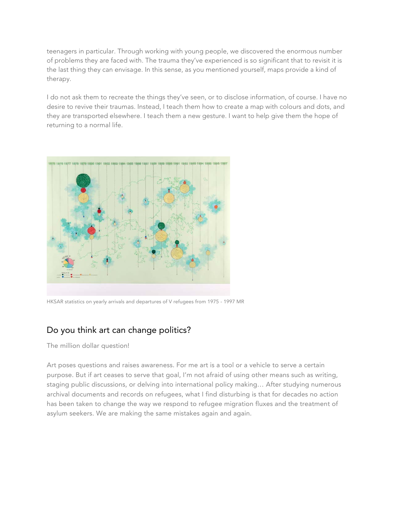teenagers in particular. Through working with young people, we discovered the enormous number of problems they are faced with. The trauma they've experienced is so significant that to revisit it is the last thing they can envisage. In this sense, as you mentioned yourself, maps provide a kind of therapy.

I do not ask them to recreate the things they've seen, or to disclose information, of course. I have no desire to revive their traumas. Instead, I teach them how to create a map with colours and dots, and they are transported elsewhere. I teach them a new gesture. I want to help give them the hope of returning to a normal life.



HKSAR statistics on yearly arrivals and departures of V refugees from 1975 - 1997 MR

### Do you think art can change politics?

The million dollar question!

Art poses questions and raises awareness. For me art is a tool or a vehicle to serve a certain purpose. But if art ceases to serve that goal, I'm not afraid of using other means such as writing, staging public discussions, or delving into international policy making… After studying numerous archival documents and records on refugees, what I find disturbing is that for decades no action has been taken to change the way we respond to refugee migration fluxes and the treatment of asylum seekers. We are making the same mistakes again and again.